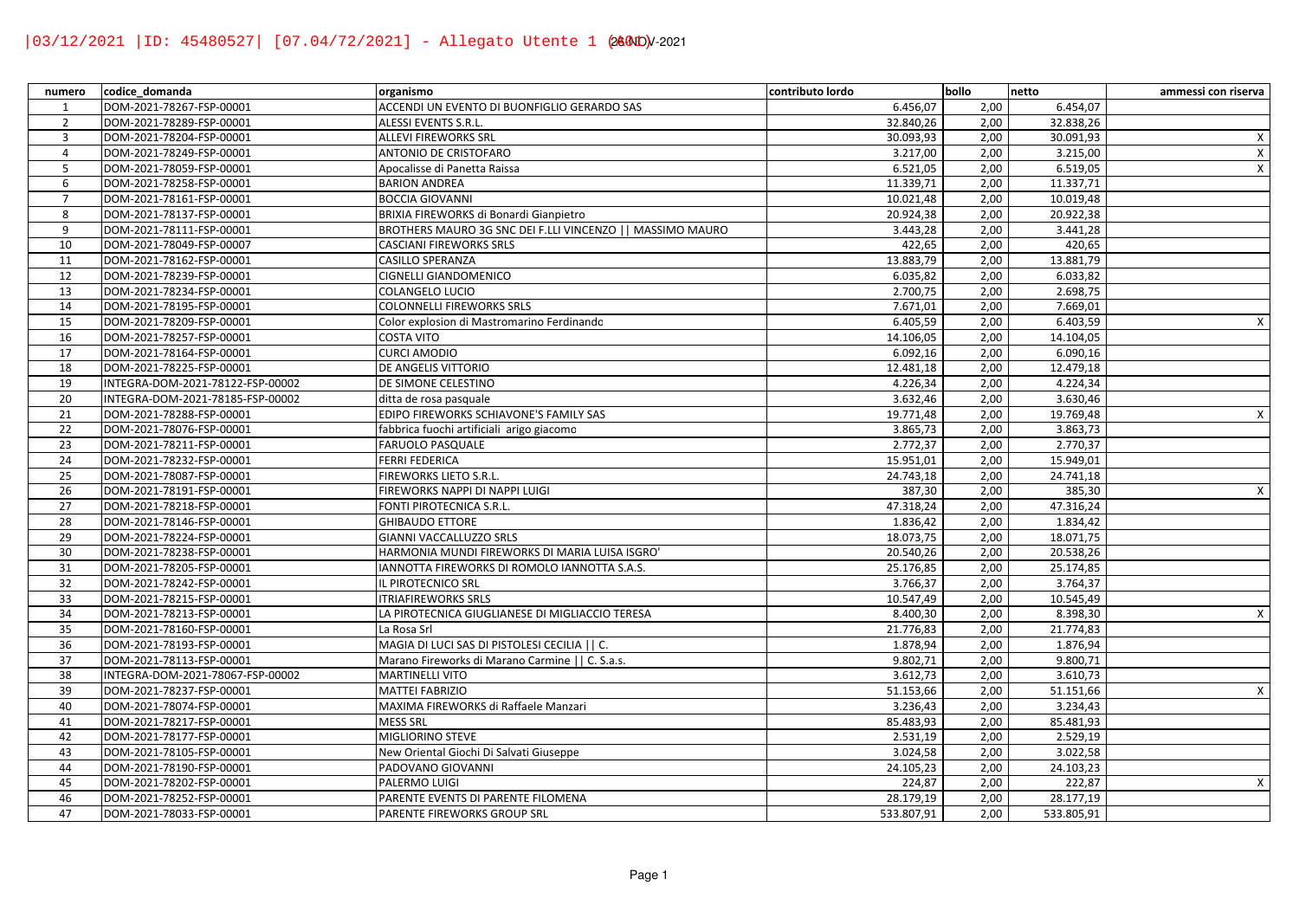| numero          | codice domanda                   | organismo                                                  | contributo lordo | bollo | netto      | ammessi con riserva |
|-----------------|----------------------------------|------------------------------------------------------------|------------------|-------|------------|---------------------|
| $\mathbf{1}$    | DOM-2021-78267-FSP-00001         | ACCENDI UN EVENTO DI BUONFIGLIO GERARDO SAS                | 6.456,07         | 2,00  | 6.454,07   |                     |
| $\overline{2}$  | DOM-2021-78289-FSP-00001         | ALESSI EVENTS S.R.L.                                       | 32.840,26        | 2,00  | 32.838,26  |                     |
| $\overline{3}$  | DOM-2021-78204-FSP-00001         | <b>ALLEVI FIREWORKS SRL</b>                                | 30.093,93        | 2,00  | 30.091,93  | $\mathsf{X}$        |
| $\overline{4}$  | DOM-2021-78249-FSP-00001         | ANTONIO DE CRISTOFARO                                      | 3.217,00         | 2,00  | 3.215,00   | $\mathsf{X}$        |
| 5               | DOM-2021-78059-FSP-00001         | Apocalisse di Panetta Raissa                               | 6.521.05         | 2,00  | 6.519,05   | $\mathsf{X}$        |
| 6               | DOM-2021-78258-FSP-00001         | <b>BARION ANDREA</b>                                       | 11.339,71        | 2,00  | 11.337,71  |                     |
| $\overline{7}$  | DOM-2021-78161-FSP-00001         | <b>BOCCIA GIOVANNI</b>                                     | 10.021,48        | 2,00  | 10.019,48  |                     |
| 8               | DOM-2021-78137-FSP-00001         | BRIXIA FIREWORKS di Bonardi Gianpietro                     | 20.924,38        | 2,00  | 20.922,38  |                     |
| 9               | DOM-2021-78111-FSP-00001         | BROTHERS MAURO 3G SNC DEI F.LLI VINCENZO     MASSIMO MAURO | 3.443,28         | 2,00  | 3.441,28   |                     |
| 10              | DOM-2021-78049-FSP-00007         | CASCIANI FIREWORKS SRLS                                    | 422,65           | 2,00  | 420,65     |                     |
| 11              | DOM-2021-78162-FSP-00001         | CASILLO SPERANZA                                           | 13.883,79        | 2,00  | 13.881,79  |                     |
| $\overline{12}$ | DOM-2021-78239-FSP-00001         | CIGNELLI GIANDOMENICO                                      | 6.035,82         | 2,00  | 6.033,82   |                     |
| 13              | DOM-2021-78234-FSP-00001         | COLANGELO LUCIO                                            | 2.700,75         | 2,00  | 2.698,75   |                     |
| 14              | DOM-2021-78195-FSP-00001         | COLONNELLI FIREWORKS SRLS                                  | 7.671,01         | 2,00  | 7.669,01   |                     |
| 15              | DOM-2021-78209-FSP-00001         | Color explosion di Mastromarino Ferdinando                 | 6.405,59         | 2,00  | 6.403,59   | $\mathsf{X}$        |
| 16              | DOM-2021-78257-FSP-00001         | COSTA VITO                                                 | 14.106,05        | 2,00  | 14.104,05  |                     |
| 17              | DOM-2021-78164-FSP-00001         | <b>CURCI AMODIO</b>                                        | 6.092,16         | 2,00  | 6.090,16   |                     |
| 18              | DOM-2021-78225-FSP-00001         | DE ANGELIS VITTORIO                                        | 12.481,18        | 2,00  | 12.479,18  |                     |
| 19              | INTEGRA-DOM-2021-78122-FSP-00002 | DE SIMONE CELESTINO                                        | 4.226,34         | 2,00  | 4.224,34   |                     |
| 20              | INTEGRA-DOM-2021-78185-FSP-00002 | ditta de rosa pasquale                                     | 3.632,46         | 2,00  | 3.630,46   |                     |
| 21              | DOM-2021-78288-FSP-00001         | EDIPO FIREWORKS SCHIAVONE'S FAMILY SAS                     | 19.771,48        | 2,00  | 19.769,48  | $\mathsf{X}$        |
| 22              | DOM-2021-78076-FSP-00001         | fabbrica fuochi artificiali arigo giacomo                  | 3.865,73         | 2,00  | 3.863,73   |                     |
| 23              | DOM-2021-78211-FSP-00001         | FARUOLO PASQUALE                                           | 2.772,37         | 2,00  | 2.770,37   |                     |
| 24              | DOM-2021-78232-FSP-00001         | <b>FERRI FEDERICA</b>                                      | 15.951,01        | 2,00  | 15.949,01  |                     |
| 25              | DOM-2021-78087-FSP-00001         | FIREWORKS LIETO S.R.L.                                     | 24.743,18        | 2,00  | 24.741,18  |                     |
| 26              | DOM-2021-78191-FSP-00001         | FIREWORKS NAPPI DI NAPPI LUIGI                             | 387,30           | 2,00  | 385,30     | $\mathsf{X}$        |
| 27              | DOM-2021-78218-FSP-00001         | FONTI PIROTECNICA S.R.L.                                   | 47.318,24        | 2,00  | 47.316,24  |                     |
| 28              | DOM-2021-78146-FSP-00001         | <b>GHIBAUDO ETTORE</b>                                     | 1.836,42         | 2,00  | 1.834,42   |                     |
| 29              | DOM-2021-78224-FSP-00001         | <b>GIANNI VACCALLUZZO SRLS</b>                             | 18.073,75        | 2,00  | 18.071,75  |                     |
| 30              | DOM-2021-78238-FSP-00001         | HARMONIA MUNDI FIREWORKS DI MARIA LUISA ISGRO'             | 20.540,26        | 2,00  | 20.538,26  |                     |
| 31              | DOM-2021-78205-FSP-00001         | IANNOTTA FIREWORKS DI ROMOLO IANNOTTA S.A.S.               | 25.176,85        | 2,00  | 25.174,85  |                     |
| 32              | DOM-2021-78242-FSP-00001         | IL PIROTECNICO SRL                                         | 3.766,37         | 2,00  | 3.764,37   |                     |
| 33              | DOM-2021-78215-FSP-00001         | <b>ITRIAFIREWORKS SRLS</b>                                 | 10.547,49        | 2,00  | 10.545,49  |                     |
| 34              | DOM-2021-78213-FSP-00001         | LA PIROTECNICA GIUGLIANESE DI MIGLIACCIO TERESA            | 8.400,30         | 2,00  | 8.398,30   | $\mathsf{X}$        |
| 35              | DOM-2021-78160-FSP-00001         | La Rosa Srl                                                | 21.776,83        | 2,00  | 21.774,83  |                     |
| 36              | DOM-2021-78193-FSP-00001         | MAGIA DI LUCI SAS DI PISTOLESI CECILIA     C.              | 1.878,94         | 2,00  | 1.876,94   |                     |
| 37              | DOM-2021-78113-FSP-00001         | Marano Fireworks di Marano Carmine     C. S.a.s.           | 9.802,71         | 2,00  | 9.800,71   |                     |
| 38              | INTEGRA-DOM-2021-78067-FSP-00002 | <b>MARTINELLI VITO</b>                                     | 3.612,73         | 2,00  | 3.610,73   |                     |
| 39              | DOM-2021-78237-FSP-00001         | <b>MATTEI FABRIZIO</b>                                     | 51.153,66        | 2,00  | 51.151,66  | $\mathsf{X}$        |
| 40              | DOM-2021-78074-FSP-00001         | MAXIMA FIREWORKS di Raffaele Manzari                       | 3.236,43         | 2,00  | 3.234,43   |                     |
| 41              | DOM-2021-78217-FSP-00001         | <b>MESS SRL</b>                                            | 85.483,93        | 2,00  | 85.481,93  |                     |
| 42              | DOM-2021-78177-FSP-00001         | MIGLIORINO STEVE                                           | 2.531,19         | 2,00  | 2.529,19   |                     |
| 43              | DOM-2021-78105-FSP-00001         | New Oriental Giochi Di Salvati Giuseppe                    | 3.024.58         | 2,00  | 3.022,58   |                     |
| 44              | DOM-2021-78190-FSP-00001         | PADOVANO GIOVANNI                                          | 24.105,23        | 2,00  | 24.103,23  |                     |
| 45              | DOM-2021-78202-FSP-00001         | PALERMO LUIGI                                              | 224,87           | 2,00  | 222,87     | $\mathsf{X}$        |
| 46              | DOM-2021-78252-FSP-00001         | PARENTE EVENTS DI PARENTE FILOMENA                         | 28.179,19        | 2,00  | 28.177,19  |                     |
| 47              | DOM-2021-78033-FSP-00001         | PARENTE FIREWORKS GROUP SRL                                | 533.807,91       | 2,00  | 533.805,91 |                     |
|                 |                                  |                                                            |                  |       |            |                     |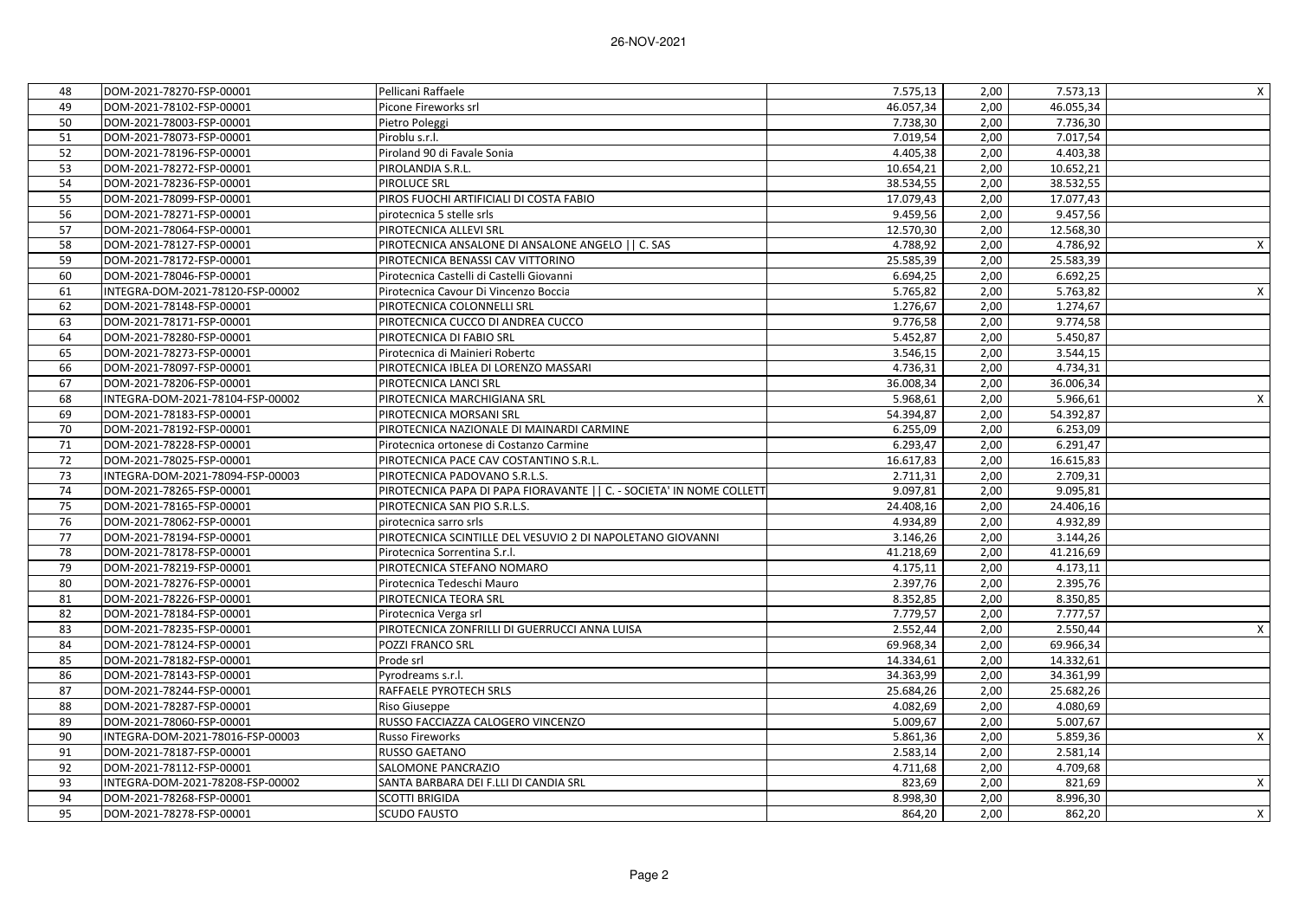| 48 | DOM-2021-78270-FSP-00001         | Pellicani Raffaele                                                  | 7.575,13  | 2,00 | 7.573,13  | X                         |
|----|----------------------------------|---------------------------------------------------------------------|-----------|------|-----------|---------------------------|
| 49 | DOM-2021-78102-FSP-00001         | Picone Fireworks srl                                                | 46.057,34 | 2,00 | 46.055,34 |                           |
| 50 | DOM-2021-78003-FSP-00001         | Pietro Poleggi                                                      | 7.738.30  | 2.00 | 7.736,30  |                           |
| 51 | DOM-2021-78073-FSP-00001         | Piroblu s.r.l.                                                      | 7.019,54  | 2,00 | 7.017,54  |                           |
| 52 | DOM-2021-78196-FSP-00001         | Piroland 90 di Favale Sonia                                         | 4.405,38  | 2,00 | 4.403,38  |                           |
| 53 | DOM-2021-78272-FSP-00001         | PIROLANDIA S.R.L.                                                   | 10.654,21 | 2,00 | 10.652,21 |                           |
| 54 | DOM-2021-78236-FSP-00001         | PIROLUCE SRL                                                        | 38.534,55 | 2,00 | 38.532,55 |                           |
| 55 | DOM-2021-78099-FSP-00001         | PIROS FUOCHI ARTIFICIALI DI COSTA FABIO                             | 17.079,43 | 2,00 | 17.077,43 |                           |
| 56 | DOM-2021-78271-FSP-00001         | pirotecnica 5 stelle srls                                           | 9.459,56  | 2,00 | 9.457,56  |                           |
| 57 | DOM-2021-78064-FSP-00001         | PIROTECNICA ALLEVI SRL                                              | 12.570,30 | 2,00 | 12.568,30 |                           |
| 58 | DOM-2021-78127-FSP-00001         | PIROTECNICA ANSALONE DI ANSALONE ANGELO     C. SAS                  | 4.788,92  | 2,00 | 4.786,92  | Χ                         |
| 59 | DOM-2021-78172-FSP-00001         | PIROTECNICA BENASSI CAV VITTORINO                                   | 25.585,39 | 2,00 | 25.583,39 |                           |
| 60 | DOM-2021-78046-FSP-00001         | Pirotecnica Castelli di Castelli Giovanni                           | 6.694,25  | 2,00 | 6.692,25  |                           |
| 61 | INTEGRA-DOM-2021-78120-FSP-00002 | Pirotecnica Cavour Di Vincenzo Boccia                               | 5.765,82  | 2,00 | 5.763,82  | X                         |
| 62 | DOM-2021-78148-FSP-00001         | PIROTECNICA COLONNELLI SRL                                          | 1.276,67  | 2,00 | 1.274,67  |                           |
| 63 | DOM-2021-78171-FSP-00001         | PIROTECNICA CUCCO DI ANDREA CUCCO                                   | 9.776,58  | 2,00 | 9.774,58  |                           |
| 64 | DOM-2021-78280-FSP-00001         | PIROTECNICA DI FABIO SRL                                            | 5.452,87  | 2,00 | 5.450,87  |                           |
| 65 | DOM-2021-78273-FSP-00001         | Pirotecnica di Mainieri Roberto                                     | 3.546,15  | 2,00 | 3.544,15  |                           |
| 66 | DOM-2021-78097-FSP-00001         | PIROTECNICA IBLEA DI LORENZO MASSARI                                | 4.736,31  | 2,00 | 4.734,31  |                           |
| 67 | DOM-2021-78206-FSP-00001         | PIROTECNICA LANCI SRL                                               | 36.008,34 | 2,00 | 36.006,34 |                           |
| 68 | INTEGRA-DOM-2021-78104-FSP-00002 | PIROTECNICA MARCHIGIANA SRL                                         | 5.968,61  | 2,00 | 5.966,61  | X                         |
| 69 | DOM-2021-78183-FSP-00001         | PIROTECNICA MORSANI SRL                                             | 54.394,87 | 2,00 | 54.392,87 |                           |
| 70 | DOM-2021-78192-FSP-00001         | PIROTECNICA NAZIONALE DI MAINARDI CARMINE                           | 6.255,09  | 2,00 | 6.253,09  |                           |
| 71 | DOM-2021-78228-FSP-00001         | Pirotecnica ortonese di Costanzo Carmine                            | 6.293,47  | 2,00 | 6.291,47  |                           |
| 72 | DOM-2021-78025-FSP-00001         | PIROTECNICA PACE CAV COSTANTINO S.R.L.                              | 16.617,83 | 2,00 | 16.615,83 |                           |
| 73 | INTEGRA-DOM-2021-78094-FSP-00003 | PIROTECNICA PADOVANO S.R.L.S.                                       | 2.711,31  | 2,00 | 2.709,31  |                           |
| 74 | DOM-2021-78265-FSP-00001         | PIROTECNICA PAPA DI PAPA FIORAVANTE   C. - SOCIETA' IN NOME COLLETT | 9.097,81  | 2,00 | 9.095,81  |                           |
| 75 | DOM-2021-78165-FSP-00001         | PIROTECNICA SAN PIO S.R.L.S.                                        | 24.408,16 | 2,00 | 24.406,16 |                           |
| 76 | DOM-2021-78062-FSP-00001         | pirotecnica sarro srls                                              | 4.934,89  | 2,00 | 4.932,89  |                           |
| 77 | DOM-2021-78194-FSP-00001         | PIROTECNICA SCINTILLE DEL VESUVIO 2 DI NAPOLETANO GIOVANNI          | 3.146,26  | 2,00 | 3.144,26  |                           |
| 78 | DOM-2021-78178-FSP-00001         | Pirotecnica Sorrentina S.r.l.                                       | 41.218,69 | 2,00 | 41.216,69 |                           |
| 79 | DOM-2021-78219-FSP-00001         | PIROTECNICA STEFANO NOMARO                                          | 4.175,11  | 2,00 | 4.173,11  |                           |
| 80 | DOM-2021-78276-FSP-00001         | Pirotecnica Tedeschi Mauro                                          | 2.397,76  | 2,00 | 2.395,76  |                           |
| 81 | DOM-2021-78226-FSP-00001         | PIROTECNICA TEORA SRL                                               | 8.352,85  | 2,00 | 8.350,85  |                           |
| 82 | DOM-2021-78184-FSP-00001         | Pirotecnica Verga srl                                               | 7.779,57  | 2,00 | 7.777,57  |                           |
| 83 | DOM-2021-78235-FSP-00001         | PIROTECNICA ZONFRILLI DI GUERRUCCI ANNA LUISA                       | 2.552,44  | 2,00 | 2.550,44  | $\boldsymbol{\mathsf{X}}$ |
| 84 | DOM-2021-78124-FSP-00001         | POZZI FRANCO SRL                                                    | 69.968,34 | 2,00 | 69.966,34 |                           |
| 85 | DOM-2021-78182-FSP-00001         | Prode srl                                                           | 14.334,61 | 2,00 | 14.332,61 |                           |
| 86 | DOM-2021-78143-FSP-00001         | Pyrodreams s.r.l.                                                   | 34.363,99 | 2,00 | 34.361,99 |                           |
| 87 | DOM-2021-78244-FSP-00001         | RAFFAELE PYROTECH SRLS                                              | 25.684,26 | 2,00 | 25.682,26 |                           |
| 88 | DOM-2021-78287-FSP-00001         | Riso Giuseppe                                                       | 4.082,69  | 2,00 | 4.080,69  |                           |
| 89 | DOM-2021-78060-FSP-00001         | RUSSO FACCIAZZA CALOGERO VINCENZO                                   | 5.009,67  | 2,00 | 5.007,67  |                           |
| 90 | INTEGRA-DOM-2021-78016-FSP-00003 | Russo Fireworks                                                     | 5.861,36  | 2,00 | 5.859,36  | X                         |
| 91 | DOM-2021-78187-FSP-00001         | RUSSO GAETANO                                                       | 2.583,14  | 2,00 | 2.581,14  |                           |
| 92 | DOM-2021-78112-FSP-00001         | SALOMONE PANCRAZIO                                                  | 4.711,68  | 2,00 | 4.709,68  |                           |
| 93 | INTEGRA-DOM-2021-78208-FSP-00002 | SANTA BARBARA DEI F.LLI DI CANDIA SRL                               | 823,69    | 2,00 | 821,69    | X                         |
| 94 | DOM-2021-78268-FSP-00001         | <b>SCOTTI BRIGIDA</b>                                               | 8.998,30  | 2,00 | 8.996,30  |                           |
| 95 | DOM-2021-78278-FSP-00001         | <b>SCUDO FAUSTO</b>                                                 | 864,20    | 2,00 | 862,20    | $\mathsf{X}$              |